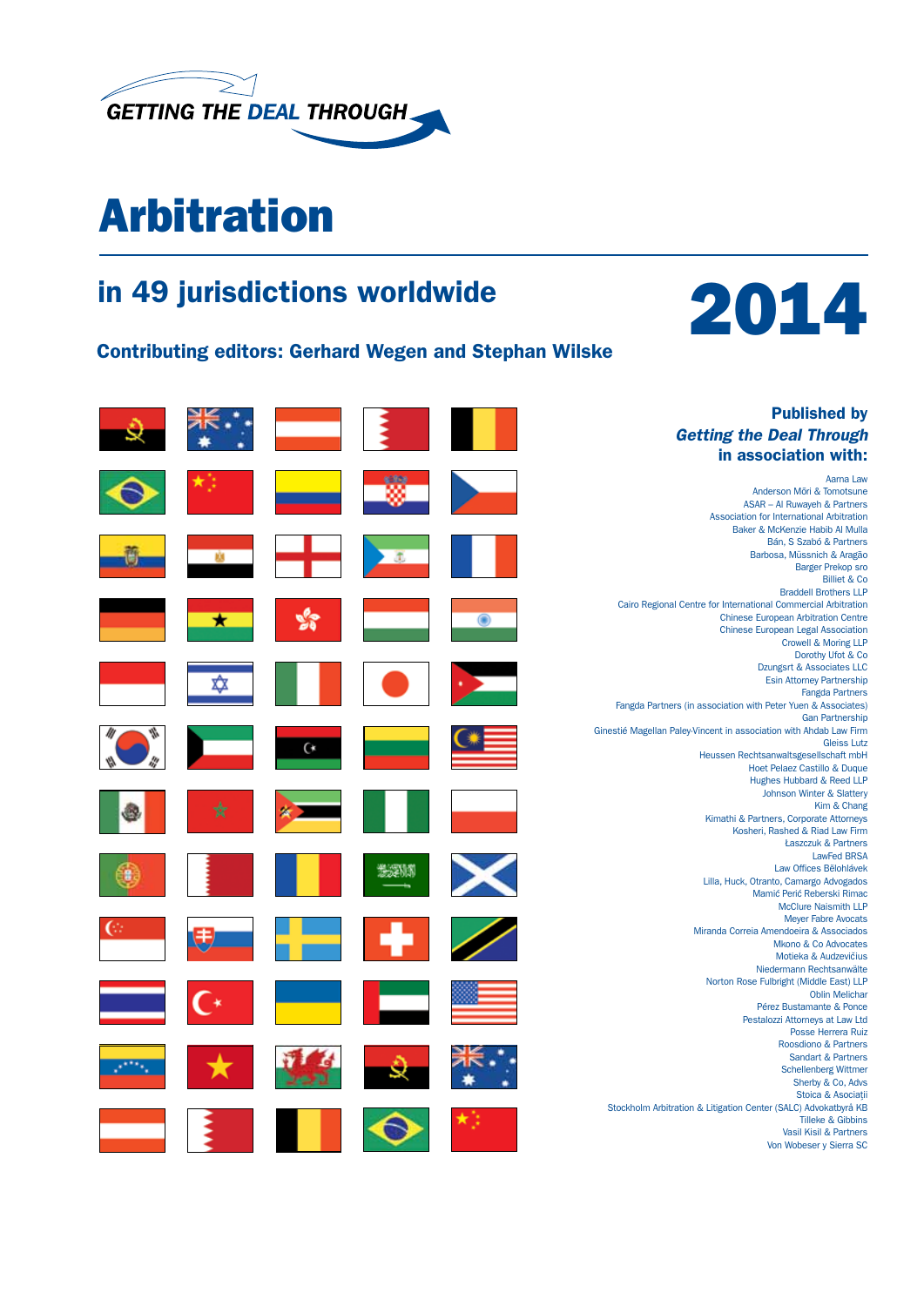

# Arbitration

### in 49 jurisdictions worldwide

Contributing editors: Gerhard Wegen and Stephan Wilske



Aarna Law

Billiet & Co

Gleiss Lutz

Kim & Chang

LawFed BRSA

Oblin Melichar

#### Published by *Getting the Deal Through* in association with: Anderson Mōri & Tomotsune ASAR – Al Ruwayeh & Partners Association for International Arbitration Baker & McKenzie Habib Al Mulla Bán, S Szabó & Partners Barbosa, Müssnich & Aragão Barger Prekop sro Braddell Brothers LLP Cairo Regional Centre for International Commercial Arbitration Chinese European Arbitration Centre Chinese European Legal Association Crowell & Moring LLP Dorothy Ufot & Co Dzungsrt & Associates LLC Esin Attorney Partnership ₥ Fangda Partners Fangda Partners (in association with Peter Yuen & Associates) Gan Partnership Ginestié Magellan Paley-Vincent in association with Ahdab Law Firm  $\alpha$ Heussen Rechtsanwaltsgesellschaft mbH Hoet Pelaez Castillo & Duque Hughes Hubbard & Reed LLP Johnson Winter & Slattery Kimathi & Partners, Corporate Attorneys Kosheri, Rashed & Riad Law Firm Łaszczuk & Partners Law Offices Bělohlávek 光深版 Lilla, Huck, Otranto, Camargo Advogados Mamić Perić Reberski Rimac McClure Naismith LLP Meyer Fabre Avocats Miranda Correia Amendoeira & Associados Mkono & Co Advocates Motieka & Audzevičius Niedermann Rechtsanwälte Norton Rose Fulbright (Middle East) LLP Pérez Bustamante & Ponce Pestalozzi Attorneys at Law Ltd Posse Herrera Ruiz Roosdiono & Partners Sandart & Partners Schellenberg Wittmer Sherby & Co, Advs Stoica & Asociatii Stoica & Asociat´ Stockholm Arbitration & Litigation Center (SALC) Advokatbyrå KB Tilleke & Gibbins Vasil Kisil & Partners Von Wobeser y Sierra SC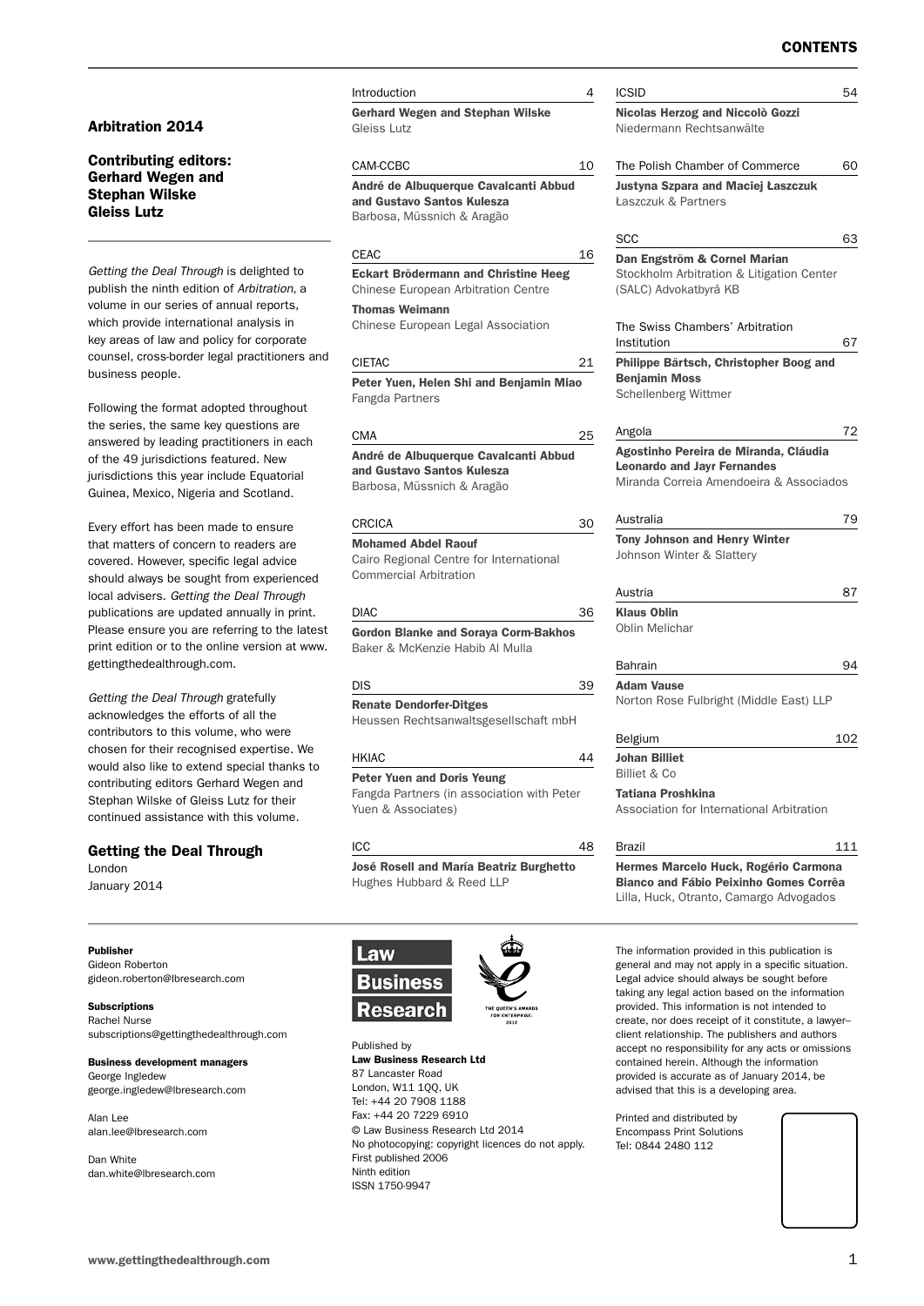#### Arbitration 2014

#### Contributing editors: Gerhard Wegen and Stephan Wilske Gleiss Lutz

*Getting the Deal Through* is delighted to publish the ninth edition of *Arbitration*, a volume in our series of annual reports, which provide international analysis in key areas of law and policy for corporate counsel, cross-border legal practitioners and business people.

Following the format adopted throughout the series, the same key questions are answered by leading practitioners in each of the 49 jurisdictions featured. New jurisdictions this year include Equatorial Guinea, Mexico, Nigeria and Scotland.

Every effort has been made to ensure that matters of concern to readers are covered. However, specific legal advice should always be sought from experienced local advisers. *Getting the Deal Through* publications are updated annually in print. Please ensure you are referring to the latest print edition or to the online version at www. gettingthedealthrough.com.

*Getting the Deal Through* gratefully acknowledges the efforts of all the contributors to this volume, who were chosen for their recognised expertise. We would also like to extend special thanks to contributing editors Gerhard Wegen and Stephan Wilske of Gleiss Lutz for their continued assistance with this volume.

#### Getting the Deal Through

London January 2014

Publisher Gideon Roberton gideon.roberton@lbresearch.com

**Subscriptions** Rachel Nurse subscriptions@gettingthedealthrough.com

Business development managers George Ingledew george.ingledew@lbresearch.com

Alan Lee alan.lee@lbresearch.com

Dan White dan.white@lbresearch.com **Introduction** Gerhard Wegen and Stephan Wilske Gleiss Lutz CAM-CCBC 10

André de Albuquerque Cavalcanti Abbud and Gustavo Santos Kulesza Barbosa, Müssnich & Aragão

#### $CEAC$  16

 Eckart Brödermann and Christine Heeg Chinese European Arbitration Centre

Thomas Weimann

Chinese European Legal Association

#### CIETAC 21

Peter Yuen, Helen Shi and Benjamin Miao Fangda Partners

#### CMA 25

André de Albuquerque Cavalcanti Abbud and Gustavo Santos Kulesza

Barbosa, Müssnich & Aragão

#### CRCICA 30

Mohamed Abdel Raouf Cairo Regional Centre for International Commercial Arbitration

#### DIAC 36

Gordon Blanke and Soraya Corm-Bakhos Baker & McKenzie Habib Al Mulla

#### DIS 39

Renate Dendorfer-Ditges Heussen Rechtsanwaltsgesellschaft mbH

#### $H K I A C$  4

Peter Yuen and Doris Yeung Fangda Partners (in association with Peter

Yuen & Associates)

#### ICC 48

José Rosell and María Beatriz Burghetto Hughes Hubbard & Reed LLP



ISSN 1750-9947

Published by Law Business Research Ltd 87 Lancaster Road London, W11 1QQ, UK Tel: +44 20 7908 1188 Fax: +44 20 7229 6910 © Law Business Research Ltd 2014 No photocopying: copyright licences do not apply. First published 2006 Ninth edition

| Nicolas Herzog and Niccolò Gozzi<br>Niedermann Rechtsanwälte<br>The Polish Chamber of Commerce<br>Justyna Szpara and Maciej Łaszczuk<br><b>Łaszczuk &amp; Partners</b><br>scc<br>Dan Engström & Cornel Marian<br>Stockholm Arbitration & Litigation Center<br>(SALC) Advokatbyrå KB<br>The Swiss Chambers' Arbitration<br>Institution<br>Philippe Bärtsch, Christopher Boog and<br><b>Benjamin Moss</b><br>Schellenberg Wittmer<br>Angola<br>Agostinho Pereira de Miranda, Cláudia<br><b>Leonardo and Jayr Fernandes</b><br>Miranda Correia Amendoeira & Associados<br>Australia<br><b>Tony Johnson and Henry Winter</b> | 60<br>63<br>67<br>72 |
|--------------------------------------------------------------------------------------------------------------------------------------------------------------------------------------------------------------------------------------------------------------------------------------------------------------------------------------------------------------------------------------------------------------------------------------------------------------------------------------------------------------------------------------------------------------------------------------------------------------------------|----------------------|
|                                                                                                                                                                                                                                                                                                                                                                                                                                                                                                                                                                                                                          |                      |
|                                                                                                                                                                                                                                                                                                                                                                                                                                                                                                                                                                                                                          |                      |
|                                                                                                                                                                                                                                                                                                                                                                                                                                                                                                                                                                                                                          |                      |
|                                                                                                                                                                                                                                                                                                                                                                                                                                                                                                                                                                                                                          |                      |
|                                                                                                                                                                                                                                                                                                                                                                                                                                                                                                                                                                                                                          |                      |
|                                                                                                                                                                                                                                                                                                                                                                                                                                                                                                                                                                                                                          |                      |
|                                                                                                                                                                                                                                                                                                                                                                                                                                                                                                                                                                                                                          |                      |
|                                                                                                                                                                                                                                                                                                                                                                                                                                                                                                                                                                                                                          |                      |
|                                                                                                                                                                                                                                                                                                                                                                                                                                                                                                                                                                                                                          |                      |
|                                                                                                                                                                                                                                                                                                                                                                                                                                                                                                                                                                                                                          | 79                   |
| Johnson Winter & Slattery                                                                                                                                                                                                                                                                                                                                                                                                                                                                                                                                                                                                |                      |
| Austria                                                                                                                                                                                                                                                                                                                                                                                                                                                                                                                                                                                                                  | 87                   |
| <b>Klaus Oblin</b><br>Oblin Melichar                                                                                                                                                                                                                                                                                                                                                                                                                                                                                                                                                                                     |                      |
| Bahrain                                                                                                                                                                                                                                                                                                                                                                                                                                                                                                                                                                                                                  | 94                   |
| <b>Adam Vause</b><br>Norton Rose Fulbright (Middle East) LLP                                                                                                                                                                                                                                                                                                                                                                                                                                                                                                                                                             |                      |
| Belgium                                                                                                                                                                                                                                                                                                                                                                                                                                                                                                                                                                                                                  | 102                  |
| <b>Johan Billiet</b><br><b>Billiet &amp; Co</b>                                                                                                                                                                                                                                                                                                                                                                                                                                                                                                                                                                          |                      |
| Tatiana Proshkina<br>Association for International Arbitration                                                                                                                                                                                                                                                                                                                                                                                                                                                                                                                                                           |                      |
| 111<br>Brazil                                                                                                                                                                                                                                                                                                                                                                                                                                                                                                                                                                                                            |                      |

The information provided in this publication is general and may not apply in a specific situation. Legal advice should always be sought before taking any legal action based on the information provided. This information is not intended to create, nor does receipt of it constitute, a lawyer– client relationship. The publishers and authors accept no responsibility for any acts or omissions contained herein. Although the information provided is accurate as of January 2014, be advised that this is a developing area.

Lilla, Huck, Otranto, Camargo Advogados

Printed and distributed by Encompass Print Solutions Tel: 0844 2480 112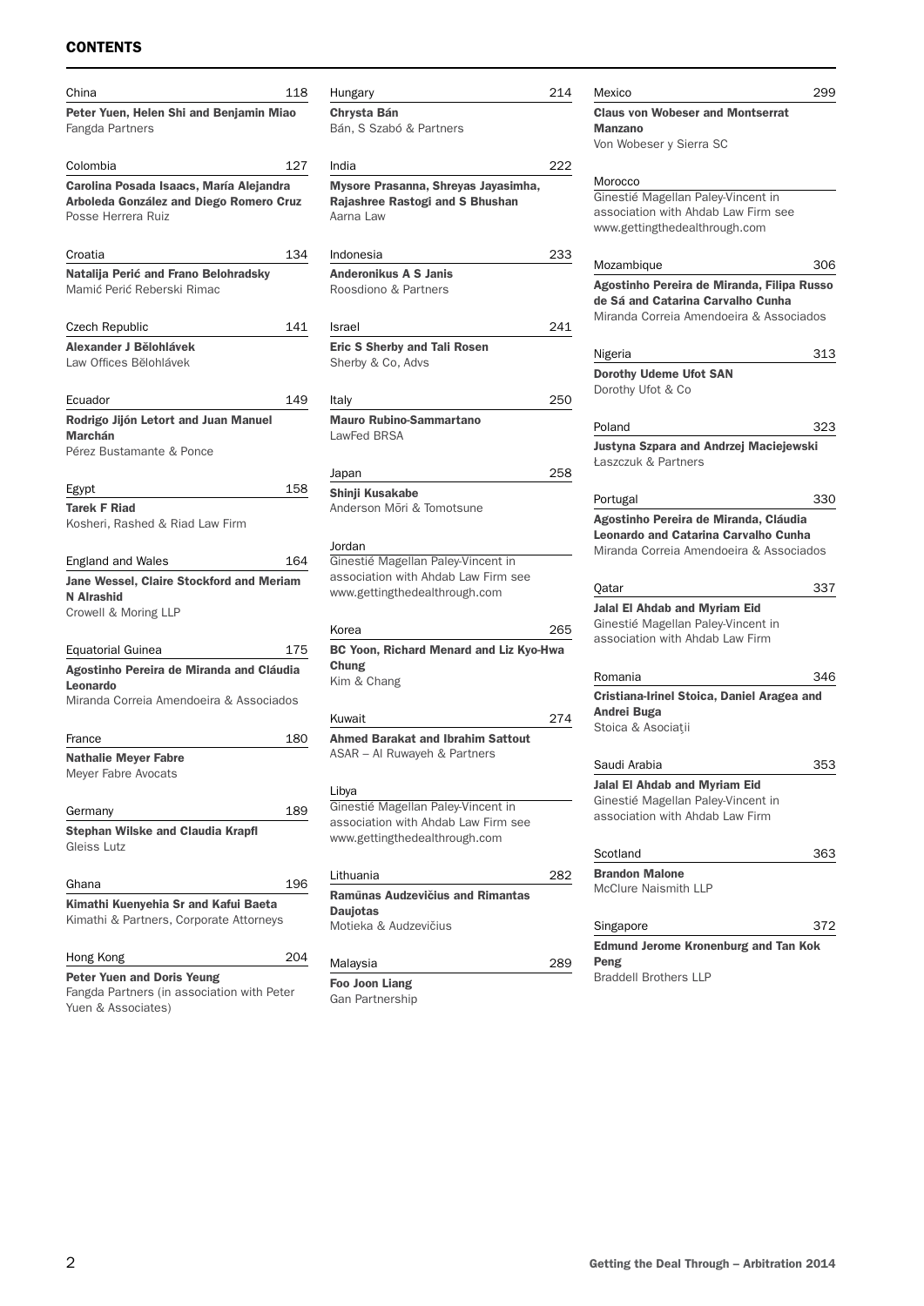#### **CONTENTS**

| China                                                                                                    | 118 |
|----------------------------------------------------------------------------------------------------------|-----|
| Peter Yuen, Helen Shi and Benjamin Miao<br>Fangda Partners                                               |     |
| Colombia                                                                                                 | 127 |
| Carolina Posada Isaacs, María Alejandra<br>Arboleda González and Diego Romero Cruz<br>Posse Herrera Ruiz |     |
| Croatia                                                                                                  | 134 |
| Natalija Perić and Frano Belohradsky<br>Mamić Perić Reberski Rimac                                       |     |
| Czech Republic                                                                                           | 141 |
| Alexander J Bělohlávek<br>Law Offices Bělohlávek                                                         |     |
| Ecuador                                                                                                  | 149 |
| Rodrigo Jijón Letort and Juan Manuel<br><b>Marchán</b><br>Pérez Bustamante & Ponce                       |     |
| Egypt                                                                                                    | 158 |
| <b>Tarek F Riad</b><br>Kosheri, Rashed & Riad Law Firm                                                   |     |
| England and Wales                                                                                        | 164 |
| Jane Wessel, Claire Stockford and Meriam<br>N Alrashid<br>Crowell & Moring LLP                           |     |
| Equatorial Guinea                                                                                        | 175 |
| Agostinho Pereira de Miranda and Cláudia<br>Leonardo                                                     |     |
| Miranda Correia Amendoeira & Associados                                                                  |     |
| France                                                                                                   | 180 |
| <b>Nathalie Meyer Fabre</b><br>Meyer Fabre Avocats                                                       |     |
| Germany                                                                                                  | 189 |
| <b>Stephan Wilske and Claudia Krapfl</b><br>Gleiss Lutz                                                  |     |
| Ghana                                                                                                    | 196 |
| Kimathi Kuenyehia Sr and Kafui Baeta<br>Kimathi & Partners, Corporate Attorneys                          |     |
| Hong Kong                                                                                                | 204 |
| <b>Peter Yuen and Doris Yeung</b>                                                                        |     |

Fangda Partners (in association with Peter Yuen & Associates)

| Hungary                                  | 214 |
|------------------------------------------|-----|
| <b>Chrysta Bán</b>                       |     |
| Bán, S Szabó & Partners                  |     |
|                                          |     |
| India                                    | 222 |
| Mysore Prasanna, Shreyas Jayasimha,      |     |
| Rajashree Rastogi and S Bhushan          |     |
| Aarna Law                                |     |
|                                          |     |
| Indonesia                                | 233 |
| <b>Anderonikus A S Janis</b>             |     |
| Roosdiono & Partners                     |     |
|                                          |     |
|                                          |     |
| Israel                                   | 241 |
| <b>Eric S Sherby and Tali Rosen</b>      |     |
| Sherby & Co, Advs                        |     |
|                                          |     |
| Italy                                    | 250 |
| <b>Mauro Rubino-Sammartano</b>           |     |
| LawFed BRSA                              |     |
|                                          |     |
| Japan                                    | 258 |
| Shinji Kusakabe                          |     |
| Anderson Mōri & Tomotsune                |     |
|                                          |     |
| Jordan                                   |     |
| Ginestié Magellan Paley-Vincent in       |     |
| association with Ahdab Law Firm see      |     |
| www.gettingthedealthrough.com            |     |
|                                          |     |
| Korea                                    | 265 |
|                                          |     |
| BC Yoon, Richard Menard and Liz Kyo-Hwa  |     |
| Chung                                    |     |
| Kim & Chang                              |     |
|                                          |     |
| Kuwait                                   | 274 |
| <b>Ahmed Barakat and Ibrahim Sattout</b> |     |
| ASAR - Al Ruwayeh & Partners             |     |
|                                          |     |
| Libya                                    |     |
| Ginestié Magellan Paley-Vincent in       |     |
| association with Ahdab Law Firm see      |     |
| www.gettingthedealthrough.com            |     |
|                                          |     |
| Lithuania                                | 282 |
| Ramūnas Audzevičius and Rimantas         |     |

Daujotas Motieka & Audzevičius

#### Malaysia 289

Foo Joon Liang Gan Partnership

| Mexico                                                    | 299 |
|-----------------------------------------------------------|-----|
| <b>Claus von Wobeser and Montserrat</b><br><b>Manzano</b> |     |
| Von Wobeser y Sierra SC                                   |     |
| Morocco                                                   |     |
| Ginestié Magellan Paley-Vincent in                        |     |
| association with Ahdab Law Firm see                       |     |
| www.gettingthedealthrough.com                             |     |
| Mozambique                                                | 306 |
| Agostinho Pereira de Miranda, Filipa Russo                |     |
| de Sá and Catarina Carvalho Cunha                         |     |
| Miranda Correia Amendoeira & Associados                   |     |
| Nigeria                                                   | 313 |
| <b>Dorothy Udeme Ufot SAN</b>                             |     |
| Dorothy Ufot & Co                                         |     |
| Poland                                                    | 323 |
| <b>Justyna Szpara and Andrzej Maciejewski</b>             |     |
| <b>Łaszczuk &amp; Partners</b>                            |     |
| Portugal                                                  | 330 |
| Agostinho Pereira de Miranda, Cláudia                     |     |
| <b>Leonardo and Catarina Carvalho Cunha</b>               |     |
| Miranda Correia Amendoeira & Associados                   |     |
| Qatar                                                     | 337 |
| <b>Jalal El Ahdab and Myriam Eid</b>                      |     |
| Ginestié Magellan Paley-Vincent in                        |     |
| association with Ahdab Law Firm                           |     |
| Romania                                                   | 346 |
| Cristiana-Irinel Stoica, Daniel Aragea and                |     |
| <b>Andrei Buga</b>                                        |     |
| Stoica & Asociatii                                        |     |
| Saudi Arabia                                              | 353 |
| <b>Jalal El Ahdab and Myriam Eid</b>                      |     |
|                                                           |     |
|                                                           |     |
| Ginestié Magellan Paley-Vincent in                        |     |
| association with Ahdab Law Firm                           |     |
| Scotland                                                  |     |
| <b>Brandon Malone</b>                                     |     |
| McClure Naismith LLP                                      | 363 |
| Singapore                                                 | 372 |
| <b>Edmund Jerome Kronenburg and Tan Kok</b>               |     |

Braddell Brothers LLP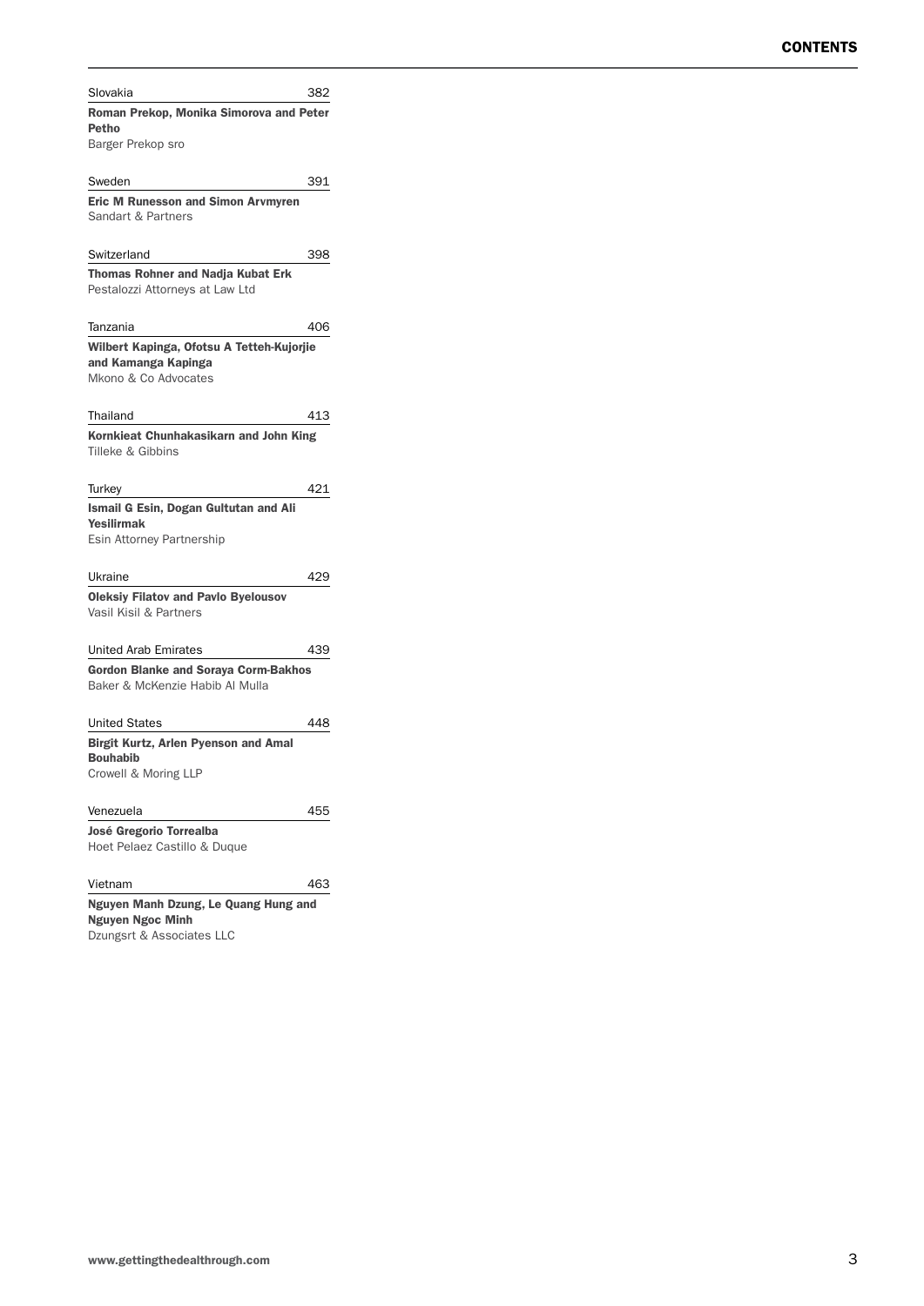| Slovakia                                                                       | 382 |
|--------------------------------------------------------------------------------|-----|
| Roman Prekop, Monika Simorova and Peter                                        |     |
| Petho                                                                          |     |
| Barger Prekop sro                                                              |     |
| Sweden                                                                         | 391 |
| <b>Eric M Runesson and Simon Arvmyren</b>                                      |     |
| Sandart & Partners                                                             |     |
|                                                                                |     |
| Switzerland                                                                    | 398 |
| <b>Thomas Rohner and Nadja Kubat Erk</b>                                       |     |
| Pestalozzi Attorneys at Law Ltd                                                |     |
|                                                                                |     |
| Tanzania                                                                       | 406 |
| Wilbert Kapinga, Ofotsu A Tetteh-Kujorjie<br>and Kamanga Kapinga               |     |
| Mkono & Co Advocates                                                           |     |
|                                                                                |     |
| Thailand                                                                       | 413 |
| Kornkieat Chunhakasikarn and John King                                         |     |
| Tilleke & Gibbins                                                              |     |
|                                                                                |     |
| Turkey                                                                         | 421 |
| Ismail G Esin, Dogan Gultutan and Ali                                          |     |
| <b>Yesilirmak</b><br>Esin Attorney Partnership                                 |     |
|                                                                                |     |
| Ukraine                                                                        | 429 |
| <b>Oleksiy Filatov and Pavlo Byelousov</b>                                     |     |
| Vasil Kisil & Partners                                                         |     |
|                                                                                |     |
| United Arab Emirates                                                           | 439 |
| <b>Gordon Blanke and Soraya Corm-Bakhos</b><br>Baker & McKenzie Habib Al Mulla |     |
|                                                                                |     |
| <b>United States</b>                                                           | 448 |
| <b>Birgit Kurtz, Arlen Pyenson and Amal</b>                                    |     |
| <b>Bouhabib</b>                                                                |     |
| Crowell & Moring LLP                                                           |     |
|                                                                                |     |
| Venezuela                                                                      | 455 |
| José Gregorio Torrealba                                                        |     |
| Hoet Pelaez Castillo & Duque                                                   |     |
| Vietnam                                                                        | 463 |
| Nguyen Manh Dzung, Le Quang Hung and                                           |     |
| <b>Nguyen Ngoc Minh</b>                                                        |     |
| Dzungsrt & Associates LLC                                                      |     |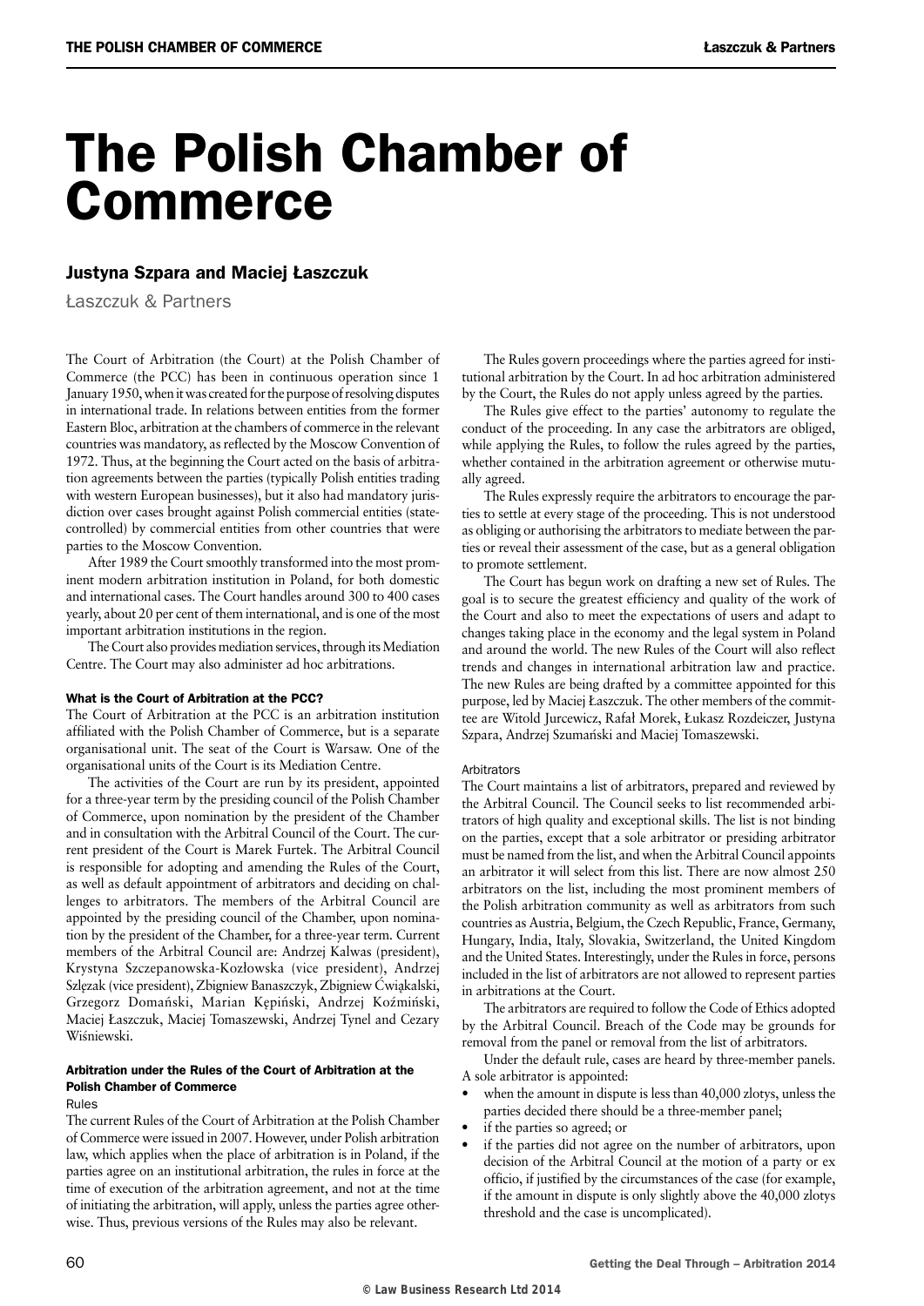# The Polish Chamber of Commerce

#### Justyna Szpara and Maciej Łaszczuk

Łaszczuk & Partners

The Court of Arbitration (the Court) at the Polish Chamber of Commerce (the PCC) has been in continuous operation since 1 January 1950, when it was created for the purpose of resolving disputes in international trade. In relations between entities from the former Eastern Bloc, arbitration at the chambers of commerce in the relevant countries was mandatory, as reflected by the Moscow Convention of 1972. Thus, at the beginning the Court acted on the basis of arbitration agreements between the parties (typically Polish entities trading with western European businesses), but it also had mandatory jurisdiction over cases brought against Polish commercial entities (statecontrolled) by commercial entities from other countries that were parties to the Moscow Convention.

After 1989 the Court smoothly transformed into the most prominent modern arbitration institution in Poland, for both domestic and international cases. The Court handles around 300 to 400 cases yearly, about 20 per cent of them international, and is one of the most important arbitration institutions in the region.

The Court also provides mediation services, through its Mediation Centre. The Court may also administer ad hoc arbitrations.

#### What is the Court of Arbitration at the PCC?

The Court of Arbitration at the PCC is an arbitration institution affiliated with the Polish Chamber of Commerce, but is a separate organisational unit. The seat of the Court is Warsaw. One of the organisational units of the Court is its Mediation Centre.

The activities of the Court are run by its president, appointed for a three-year term by the presiding council of the Polish Chamber of Commerce, upon nomination by the president of the Chamber and in consultation with the Arbitral Council of the Court. The current president of the Court is Marek Furtek. The Arbitral Council is responsible for adopting and amending the Rules of the Court, as well as default appointment of arbitrators and deciding on challenges to arbitrators. The members of the Arbitral Council are appointed by the presiding council of the Chamber, upon nomination by the president of the Chamber, for a three-year term. Current members of the Arbitral Council are: Andrzej Kalwas (president), Krystyna Szczepanowska-Kozłowska (vice president), Andrzej Szlęzak (vice president), Zbigniew Banaszczyk, Zbigniew Ćwiąkalski, Grzegorz Domański, Marian Kępiński, Andrzej Koźmiński, Maciej Łaszczuk, Maciej Tomaszewski, Andrzej Tynel and Cezary Wiśniewski

#### Arbitration under the Rules of the Court of Arbitration at the Polish Chamber of Commerce

#### Rules

The current Rules of the Court of Arbitration at the Polish Chamber of Commerce were issued in 2007. However, under Polish arbitration law, which applies when the place of arbitration is in Poland, if the parties agree on an institutional arbitration, the rules in force at the time of execution of the arbitration agreement, and not at the time of initiating the arbitration, will apply, unless the parties agree otherwise. Thus, previous versions of the Rules may also be relevant.

The Rules govern proceedings where the parties agreed for institutional arbitration by the Court. In ad hoc arbitration administered by the Court, the Rules do not apply unless agreed by the parties.

The Rules give effect to the parties' autonomy to regulate the conduct of the proceeding. In any case the arbitrators are obliged, while applying the Rules, to follow the rules agreed by the parties, whether contained in the arbitration agreement or otherwise mutually agreed.

The Rules expressly require the arbitrators to encourage the parties to settle at every stage of the proceeding. This is not understood as obliging or authorising the arbitrators to mediate between the parties or reveal their assessment of the case, but as a general obligation to promote settlement.

The Court has begun work on drafting a new set of Rules. The goal is to secure the greatest efficiency and quality of the work of the Court and also to meet the expectations of users and adapt to changes taking place in the economy and the legal system in Poland and around the world. The new Rules of the Court will also reflect trends and changes in international arbitration law and practice. The new Rules are being drafted by a committee appointed for this purpose, led by Maciej Łaszczuk. The other members of the committee are Witold Jurcewicz, Rafał Morek, Łukasz Rozdeiczer, Justyna Szpara, Andrzej Szumański and Maciej Tomaszewski.

#### Arbitrators

The Court maintains a list of arbitrators, prepared and reviewed by the Arbitral Council. The Council seeks to list recommended arbitrators of high quality and exceptional skills. The list is not binding on the parties, except that a sole arbitrator or presiding arbitrator must be named from the list, and when the Arbitral Council appoints an arbitrator it will select from this list. There are now almost 250 arbitrators on the list, including the most prominent members of the Polish arbitration community as well as arbitrators from such countries as Austria, Belgium, the Czech Republic, France, Germany, Hungary, India, Italy, Slovakia, Switzerland, the United Kingdom and the United States. Interestingly, under the Rules in force, persons included in the list of arbitrators are not allowed to represent parties in arbitrations at the Court.

The arbitrators are required to follow the Code of Ethics adopted by the Arbitral Council. Breach of the Code may be grounds for removal from the panel or removal from the list of arbitrators.

Under the default rule, cases are heard by three-member panels. A sole arbitrator is appointed:

- when the amount in dispute is less than 40,000 zlotys, unless the parties decided there should be a three-member panel;
- if the parties so agreed; or
- if the parties did not agree on the number of arbitrators, upon decision of the Arbitral Council at the motion of a party or ex officio, if justified by the circumstances of the case (for example, if the amount in dispute is only slightly above the 40,000 zlotys threshold and the case is uncomplicated).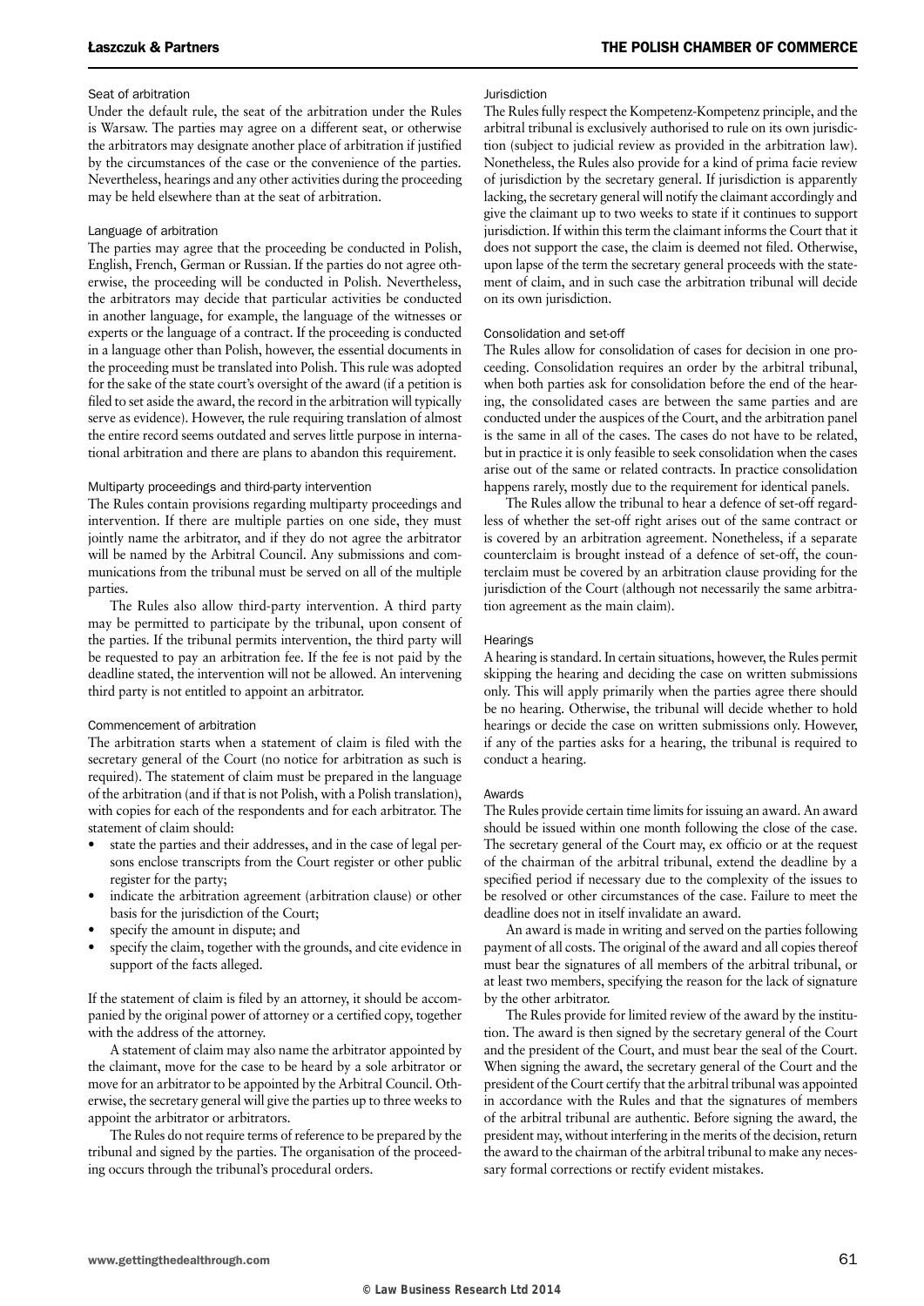#### Seat of arbitration

Under the default rule, the seat of the arbitration under the Rules is Warsaw. The parties may agree on a different seat, or otherwise the arbitrators may designate another place of arbitration if justified by the circumstances of the case or the convenience of the parties. Nevertheless, hearings and any other activities during the proceeding may be held elsewhere than at the seat of arbitration.

#### Language of arbitration

The parties may agree that the proceeding be conducted in Polish, English, French, German or Russian. If the parties do not agree otherwise, the proceeding will be conducted in Polish. Nevertheless, the arbitrators may decide that particular activities be conducted in another language, for example, the language of the witnesses or experts or the language of a contract. If the proceeding is conducted in a language other than Polish, however, the essential documents in the proceeding must be translated into Polish. This rule was adopted for the sake of the state court's oversight of the award (if a petition is filed to set aside the award, the record in the arbitration will typically serve as evidence). However, the rule requiring translation of almost the entire record seems outdated and serves little purpose in international arbitration and there are plans to abandon this requirement.

#### Multiparty proceedings and third-party intervention

The Rules contain provisions regarding multiparty proceedings and intervention. If there are multiple parties on one side, they must jointly name the arbitrator, and if they do not agree the arbitrator will be named by the Arbitral Council. Any submissions and communications from the tribunal must be served on all of the multiple parties.

The Rules also allow third-party intervention. A third party may be permitted to participate by the tribunal, upon consent of the parties. If the tribunal permits intervention, the third party will be requested to pay an arbitration fee. If the fee is not paid by the deadline stated, the intervention will not be allowed. An intervening third party is not entitled to appoint an arbitrator.

#### Commencement of arbitration

The arbitration starts when a statement of claim is filed with the secretary general of the Court (no notice for arbitration as such is required). The statement of claim must be prepared in the language of the arbitration (and if that is not Polish, with a Polish translation), with copies for each of the respondents and for each arbitrator. The statement of claim should:

- state the parties and their addresses, and in the case of legal persons enclose transcripts from the Court register or other public register for the party;
- indicate the arbitration agreement (arbitration clause) or other basis for the jurisdiction of the Court;
- specify the amount in dispute; and
- specify the claim, together with the grounds, and cite evidence in support of the facts alleged.

If the statement of claim is filed by an attorney, it should be accompanied by the original power of attorney or a certified copy, together with the address of the attorney.

A statement of claim may also name the arbitrator appointed by the claimant, move for the case to be heard by a sole arbitrator or move for an arbitrator to be appointed by the Arbitral Council. Otherwise, the secretary general will give the parties up to three weeks to appoint the arbitrator or arbitrators.

The Rules do not require terms of reference to be prepared by the tribunal and signed by the parties. The organisation of the proceeding occurs through the tribunal's procedural orders.

#### Jurisdiction

The Rules fully respect the Kompetenz-Kompetenz principle, and the arbitral tribunal is exclusively authorised to rule on its own jurisdiction (subject to judicial review as provided in the arbitration law). Nonetheless, the Rules also provide for a kind of prima facie review of jurisdiction by the secretary general. If jurisdiction is apparently lacking, the secretary general will notify the claimant accordingly and give the claimant up to two weeks to state if it continues to support jurisdiction. If within this term the claimant informs the Court that it does not support the case, the claim is deemed not filed. Otherwise, upon lapse of the term the secretary general proceeds with the statement of claim, and in such case the arbitration tribunal will decide on its own jurisdiction.

#### Consolidation and set-off

The Rules allow for consolidation of cases for decision in one proceeding. Consolidation requires an order by the arbitral tribunal, when both parties ask for consolidation before the end of the hearing, the consolidated cases are between the same parties and are conducted under the auspices of the Court, and the arbitration panel is the same in all of the cases. The cases do not have to be related, but in practice it is only feasible to seek consolidation when the cases arise out of the same or related contracts. In practice consolidation happens rarely, mostly due to the requirement for identical panels.

The Rules allow the tribunal to hear a defence of set-off regardless of whether the set-off right arises out of the same contract or is covered by an arbitration agreement. Nonetheless, if a separate counterclaim is brought instead of a defence of set-off, the counterclaim must be covered by an arbitration clause providing for the jurisdiction of the Court (although not necessarily the same arbitration agreement as the main claim).

#### **Hearings**

A hearing is standard. In certain situations, however, the Rules permit skipping the hearing and deciding the case on written submissions only. This will apply primarily when the parties agree there should be no hearing. Otherwise, the tribunal will decide whether to hold hearings or decide the case on written submissions only. However, if any of the parties asks for a hearing, the tribunal is required to conduct a hearing.

#### Awards

The Rules provide certain time limits for issuing an award. An award should be issued within one month following the close of the case. The secretary general of the Court may, ex officio or at the request of the chairman of the arbitral tribunal, extend the deadline by a specified period if necessary due to the complexity of the issues to be resolved or other circumstances of the case. Failure to meet the deadline does not in itself invalidate an award.

An award is made in writing and served on the parties following payment of all costs. The original of the award and all copies thereof must bear the signatures of all members of the arbitral tribunal, or at least two members, specifying the reason for the lack of signature by the other arbitrator.

The Rules provide for limited review of the award by the institution. The award is then signed by the secretary general of the Court and the president of the Court, and must bear the seal of the Court. When signing the award, the secretary general of the Court and the president of the Court certify that the arbitral tribunal was appointed in accordance with the Rules and that the signatures of members of the arbitral tribunal are authentic. Before signing the award, the president may, without interfering in the merits of the decision, return the award to the chairman of the arbitral tribunal to make any necessary formal corrections or rectify evident mistakes.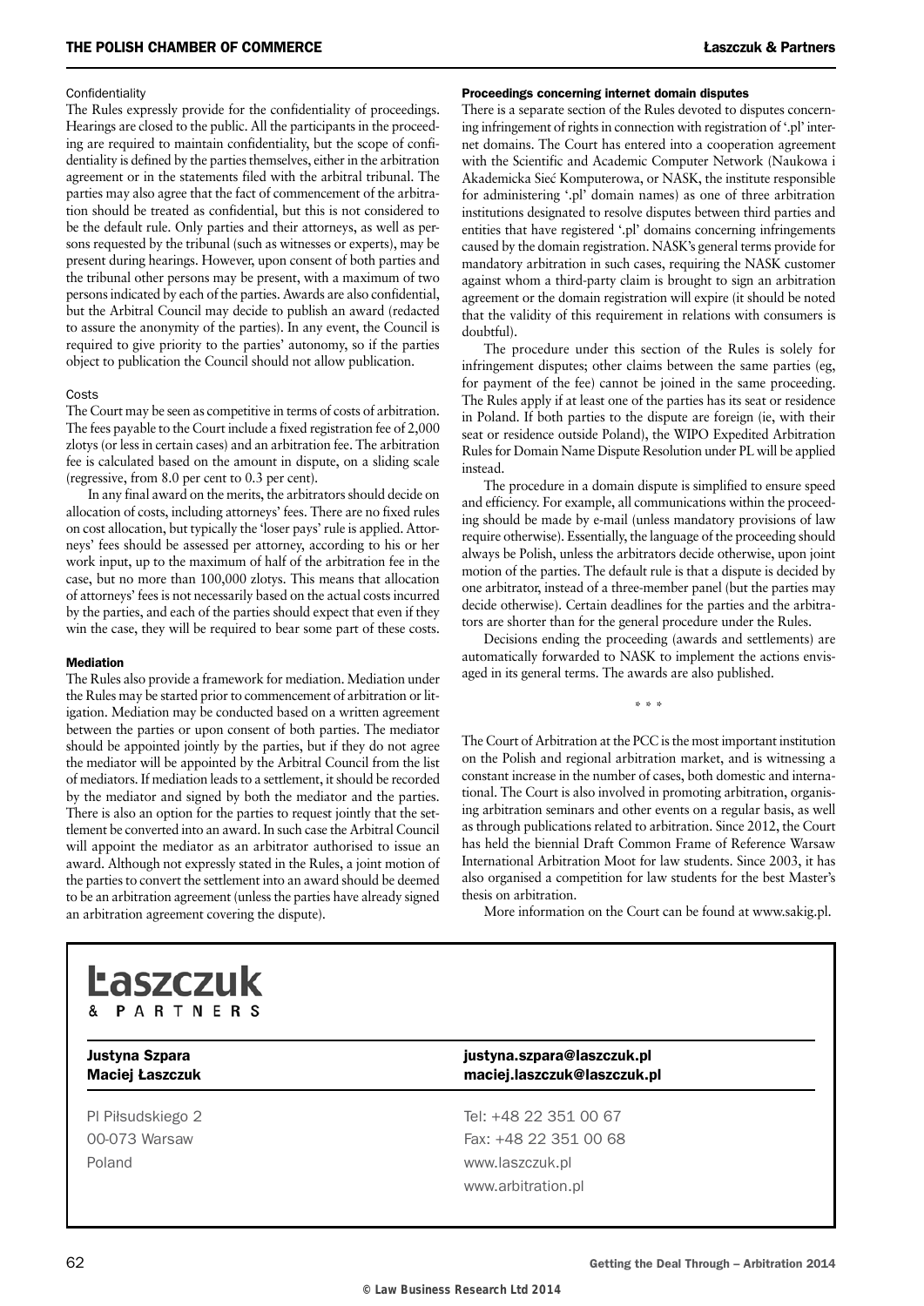#### **Confidentiality**

The Rules expressly provide for the confidentiality of proceedings. Hearings are closed to the public. All the participants in the proceeding are required to maintain confidentiality, but the scope of confidentiality is defined by the parties themselves, either in the arbitration agreement or in the statements filed with the arbitral tribunal. The parties may also agree that the fact of commencement of the arbitration should be treated as confidential, but this is not considered to be the default rule. Only parties and their attorneys, as well as persons requested by the tribunal (such as witnesses or experts), may be present during hearings. However, upon consent of both parties and the tribunal other persons may be present, with a maximum of two persons indicated by each of the parties. Awards are also confidential, but the Arbitral Council may decide to publish an award (redacted to assure the anonymity of the parties). In any event, the Council is required to give priority to the parties' autonomy, so if the parties object to publication the Council should not allow publication.

#### **Costs**

The Court may be seen as competitive in terms of costs of arbitration. The fees payable to the Court include a fixed registration fee of 2,000 zlotys (or less in certain cases) and an arbitration fee. The arbitration fee is calculated based on the amount in dispute, on a sliding scale (regressive, from 8.0 per cent to 0.3 per cent).

In any final award on the merits, the arbitrators should decide on allocation of costs, including attorneys' fees. There are no fixed rules on cost allocation, but typically the 'loser pays' rule is applied. Attorneys' fees should be assessed per attorney, according to his or her work input, up to the maximum of half of the arbitration fee in the case, but no more than 100,000 zlotys. This means that allocation of attorneys' fees is not necessarily based on the actual costs incurred by the parties, and each of the parties should expect that even if they win the case, they will be required to bear some part of these costs.

#### Mediation

The Rules also provide a framework for mediation. Mediation under the Rules may be started prior to commencement of arbitration or litigation. Mediation may be conducted based on a written agreement between the parties or upon consent of both parties. The mediator should be appointed jointly by the parties, but if they do not agree the mediator will be appointed by the Arbitral Council from the list of mediators. If mediation leads to a settlement, it should be recorded by the mediator and signed by both the mediator and the parties. There is also an option for the parties to request jointly that the settlement be converted into an award. In such case the Arbitral Council will appoint the mediator as an arbitrator authorised to issue an award. Although not expressly stated in the Rules, a joint motion of the parties to convert the settlement into an award should be deemed to be an arbitration agreement (unless the parties have already signed an arbitration agreement covering the dispute).

#### Proceedings concerning internet domain disputes

There is a separate section of the Rules devoted to disputes concerning infringement of rights in connection with registration of '.pl' internet domains. The Court has entered into a cooperation agreement with the Scientific and Academic Computer Network (Naukowa i Akademicka Siec´ Komputerowa, or NASK, the institute responsible for administering '.pl' domain names) as one of three arbitration institutions designated to resolve disputes between third parties and entities that have registered '.pl' domains concerning infringements caused by the domain registration. NASK's general terms provide for mandatory arbitration in such cases, requiring the NASK customer against whom a third-party claim is brought to sign an arbitration agreement or the domain registration will expire (it should be noted that the validity of this requirement in relations with consumers is doubtful).

The procedure under this section of the Rules is solely for infringement disputes; other claims between the same parties (eg, for payment of the fee) cannot be joined in the same proceeding. The Rules apply if at least one of the parties has its seat or residence in Poland. If both parties to the dispute are foreign (ie, with their seat or residence outside Poland), the WIPO Expedited Arbitration Rules for Domain Name Dispute Resolution under PL will be applied instead.

The procedure in a domain dispute is simplified to ensure speed and efficiency. For example, all communications within the proceeding should be made by e-mail (unless mandatory provisions of law require otherwise). Essentially, the language of the proceeding should always be Polish, unless the arbitrators decide otherwise, upon joint motion of the parties. The default rule is that a dispute is decided by one arbitrator, instead of a three-member panel (but the parties may decide otherwise). Certain deadlines for the parties and the arbitrators are shorter than for the general procedure under the Rules.

Decisions ending the proceeding (awards and settlements) are automatically forwarded to NASK to implement the actions envisaged in its general terms. The awards are also published.

\* \* \*

The Court of Arbitration at the PCC is the most important institution on the Polish and regional arbitration market, and is witnessing a constant increase in the number of cases, both domestic and international. The Court is also involved in promoting arbitration, organising arbitration seminars and other events on a regular basis, as well as through publications related to arbitration. Since 2012, the Court has held the biennial Draft Common Frame of Reference Warsaw International Arbitration Moot for law students. Since 2003, it has also organised a competition for law students for the best Master's thesis on arbitration.

More information on the Court can be found at www.sakig.pl.



Poland www.laszczuk.pl

#### Justyna Szpara justyna.szpara@laszczuk.pl Maciej Łaszczuk maciej.laszczuk@laszczuk.pl

Pl Piłsudskiego 2 Tel: +48 22 351 00 67 00-073 Warsaw Fax: +48 22 351 00 68 www.arbitration.pl